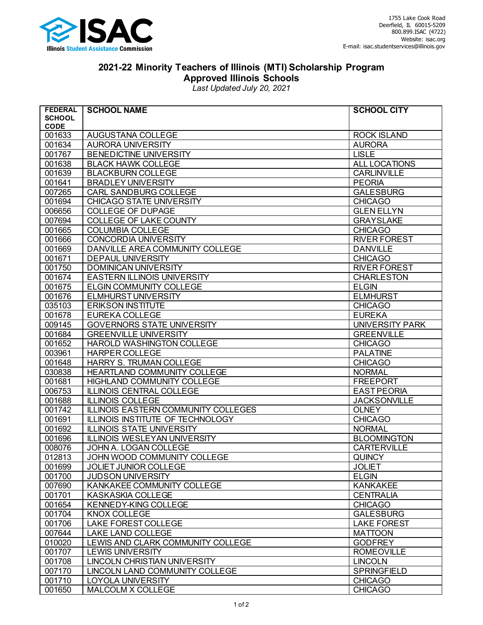

## **2021-22 Minority Teachers of Illinois (MTI) Scholarship Program Approved Illinois Schools**

*Last Updated July 20, 2021*

| <b>FEDERAL</b>   | <b>SCHOOL NAME</b>                                                   | <b>SCHOOL CITY</b>                       |
|------------------|----------------------------------------------------------------------|------------------------------------------|
| <b>SCHOOL</b>    |                                                                      |                                          |
| <b>CODE</b>      |                                                                      |                                          |
| 001633           | AUGUSTANA COLLEGE                                                    | <b>ROCK ISLAND</b><br><b>AURORA</b>      |
| 001634<br>001767 | AURORA UNIVERSITY                                                    | <b>LISLE</b>                             |
| 001638           | BENEDICTINE UNIVERSITY<br><b>BLACK HAWK COLLEGE</b>                  | ALL LOCATIONS                            |
| 001639           | <b>BLACKBURN COLLEGE</b>                                             | <b>CARLINVILLE</b>                       |
| 001641           | <b>BRADLEY UNIVERSITY</b>                                            | <b>PEORIA</b>                            |
| 007265           | <b>CARL SANDBURG COLLEGE</b>                                         | <b>GALESBURG</b>                         |
| 001694           | CHICAGO STATE UNIVERSITY                                             | <b>CHICAGO</b>                           |
| 006656           | <b>COLLEGE OF DUPAGE</b>                                             | <b>GLEN ELLYN</b>                        |
| 007694           | <b>COLLEGE OF LAKE COUNTY</b>                                        | <b>GRAYSLAKE</b>                         |
| 001665           | <b>COLUMBIA COLLEGE</b>                                              | <b>CHICAGO</b>                           |
|                  |                                                                      |                                          |
| 001666           | CONCORDIA UNIVERSITY<br>DANVILLE AREA COMMUNITY COLLEGE              | <b>RIVER FOREST</b><br><b>DANVILLE</b>   |
| 001669           |                                                                      |                                          |
| 001671<br>001750 | <b>DEPAUL UNIVERSITY</b>                                             | <b>CHICAGO</b>                           |
|                  | <b>DOMINICAN UNIVERSITY</b>                                          | <b>RIVER FOREST</b><br><b>CHARLESTON</b> |
| 001674           | <b>EASTERN ILLINOIS UNIVERSITY</b>                                   |                                          |
| 001675           | <b>ELGIN COMMUNITY COLLEGE</b>                                       | <b>ELGIN</b>                             |
| 001676           | ELMHURST UNIVERSITY                                                  | <b>ELMHURST</b>                          |
| 035103           | <b>ERIKSON INSTITUTE</b>                                             | <b>CHICAGO</b>                           |
| 001678           | <b>EUREKA COLLEGE</b>                                                | <b>EUREKA</b>                            |
| 009145           | <b>GOVERNORS STATE UNIVERSITY</b>                                    | <b>UNIVERSITY PARK</b>                   |
| 001684           | <b>GREENVILLE UNIVERSITY</b>                                         | <b>GREENVILLE</b>                        |
| 001652           | HAROLD WASHINGTON COLLEGE                                            | <b>CHICAGO</b>                           |
| 003961           | <b>HARPER COLLEGE</b>                                                | <b>PALATINE</b>                          |
| 001648           | HARRY S. TRUMAN COLLEGE                                              | <b>CHICAGO</b>                           |
| 030838           | HEARTLAND COMMUNITY COLLEGE                                          | <b>NORMAL</b>                            |
| 001681           | HIGHLAND COMMUNITY COLLEGE                                           | <b>FREEPORT</b>                          |
| 006753           | <b>ILLINOIS CENTRAL COLLEGE</b>                                      | <b>EAST PEORIA</b>                       |
| 001688           | <b>ILLINOIS COLLEGE</b>                                              | <b>JACKSONVILLE</b><br><b>OLNEY</b>      |
| 001742           | <b>ILLINOIS EASTERN COMMUNITY COLLEGES</b>                           |                                          |
| 001691<br>001692 | ILLINOIS INSTITUTE OF TECHNOLOGY<br><b>ILLINOIS STATE UNIVERSITY</b> | <b>CHICAGO</b><br><b>NORMAL</b>          |
| 001696           | <b>ILLINOIS WESLEYAN UNIVERSITY</b>                                  | <b>BLOOMINGTON</b>                       |
| 008076           | JOHN A. LOGAN COLLEGE                                                | <b>CARTERVILLE</b>                       |
| 012813           | JOHN WOOD COMMUNITY COLLEGE                                          | <b>QUINCY</b>                            |
| 001699           | JOLIET JUNIOR COLLEGE                                                | <b>JOLIET</b>                            |
| 001700           | <b>JUDSON UNIVERSITY</b>                                             | <b>ELGIN</b>                             |
| 007690           | KANKAKEE COMMUNITY COLLEGE                                           | <b>KANKAKEE</b>                          |
| 001701           | <b>KASKASKIA COLLEGE</b>                                             | <b>CENTRALIA</b>                         |
| 001654           | KENNEDY-KING COLLEGE                                                 | <b>CHICAGO</b>                           |
| 001704           | KNOX COLLEGE                                                         | <b>GALESBURG</b>                         |
| 001706           | LAKE FOREST COLLEGE                                                  | <b>LAKE FOREST</b>                       |
| 007644           | LAKE LAND COLLEGE                                                    | <b>MATTOON</b>                           |
| 010020           |                                                                      | <b>GODFREY</b>                           |
| 001707           | LEWIS AND CLARK COMMUNITY COLLEGE<br><b>LEWIS UNIVERSITY</b>         | <b>ROMEOVILLE</b>                        |
| 001708           | LINCOLN CHRISTIAN UNIVERSITY                                         | <b>LINCOLN</b>                           |
| 007170           | LINCOLN LAND COMMUNITY COLLEGE                                       | <b>SPRINGFIELD</b>                       |
| 001710           | LOYOLA UNIVERSITY                                                    | <b>CHICAGO</b>                           |
| 001650           | MALCOLM X COLLEGE                                                    | <b>CHICAGO</b>                           |
|                  |                                                                      |                                          |